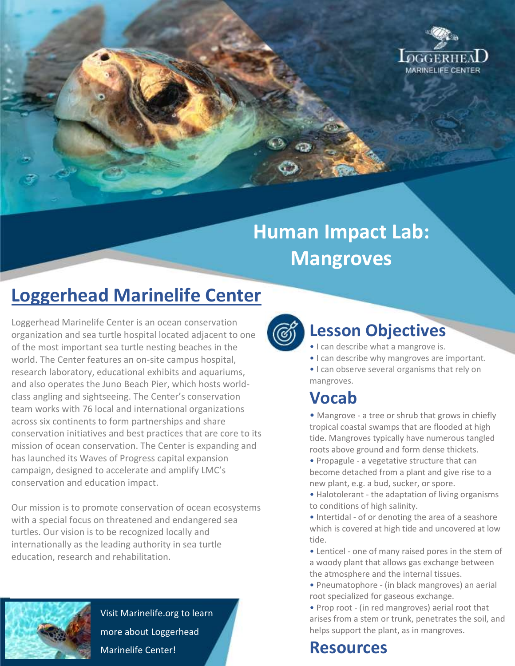

# **Human Impact Lab: Mangroves**

## **Loggerhead Marinelife Center**

Loggerhead Marinelife Center is an ocean conservation organization and sea turtle hospital located adjacent to one of the most important sea turtle nesting beaches in the world. The Center features an on-site campus hospital, research laboratory, educational exhibits and aquariums, and also operates the Juno Beach Pier, which hosts worldclass angling and sightseeing. The Center's conservation team works with 76 local and international organizations across six continents to form partnerships and share conservation initiatives and best practices that are core to its mission of ocean conservation. The Center is expanding and has launched its Waves of Progress capital expansion campaign, designed to accelerate and amplify LMC's conservation and education impact.

Our mission is to promote conservation of ocean ecosystems with a special focus on threatened and endangered sea turtles. Our vision is to be recognized locally and internationally as the leading authority in sea turtle education, research and rehabilitation.



Visit Marinelife.org to learn more about Loggerhead Marinelife Center!



#### **Lesson Objectives**

• I can describe what a mangrove is.

• I can describe why mangroves are important.

• I can observe several organisms that rely on mangroves.

### **Vocab**

• Mangrove - a tree or shrub that grows in chiefly tropical coastal swamps that are flooded at high tide. Mangroves typically have numerous tangled roots above ground and form dense thickets.

• Propagule - a vegetative structure that can become detached from a plant and give rise to a new plant, e.g. a bud, sucker, or spore.

• Halotolerant - the adaptation of living organisms to conditions of high salinity.

• Intertidal - of or denoting the area of a seashore which is covered at high tide and uncovered at low tide.

- Lenticel one of many raised pores in the stem of a woody plant that allows gas exchange between the atmosphere and the internal tissues.
- Pneumatophore (in black mangroves) an aerial root specialized for gaseous exchange.

• Prop root - (in red mangroves) aerial root that arises from a stem or trunk, penetrates the soil, and helps support the plant, as in mangroves.

### **Resources**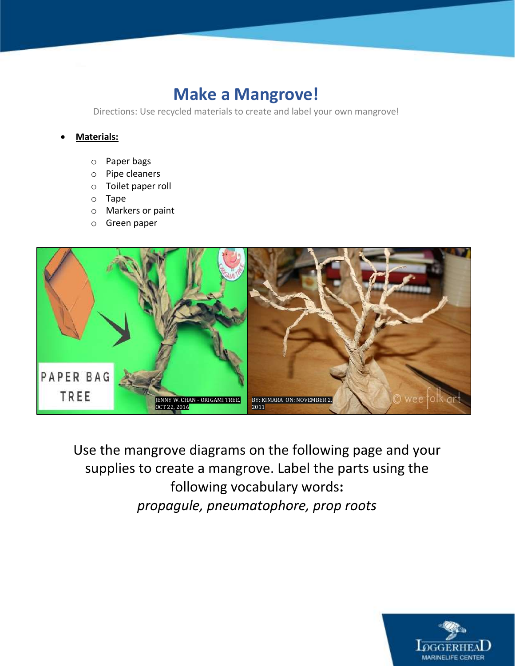### **Make a Mangrove!**

Directions: Use recycled materials to create and label your own mangrove!

#### **Materials:**

- o Paper bags
- o Pipe cleaners
- o Toilet paper roll
- o Tape
- o Markers or paint
- o Green paper



Use the mangrove diagrams on the following page and your supplies to create a mangrove. Label the parts using the following vocabulary words**:**  *propagule, pneumatophore, prop roots*